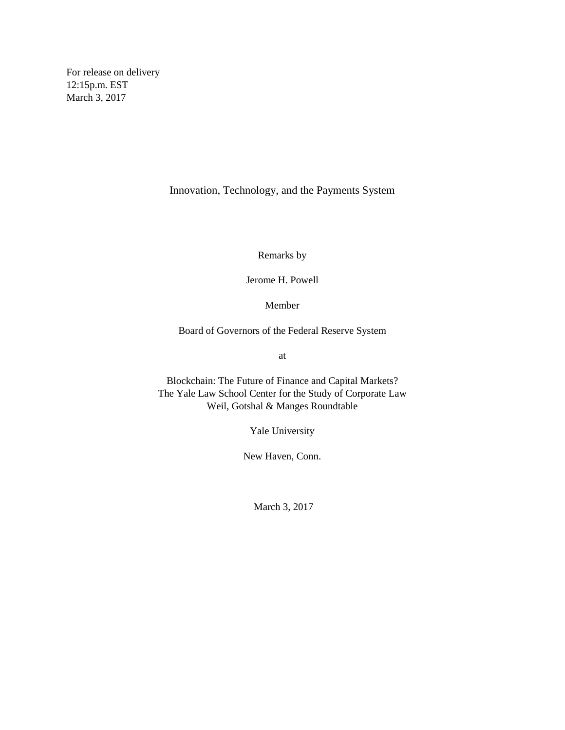For release on delivery 12:15p.m. EST March 3, 2017

Innovation, Technology, and the Payments System

Remarks by

Jerome H. Powell

Member

Board of Governors of the Federal Reserve System

at

Blockchain: The Future of Finance and Capital Markets? The Yale Law School Center for the Study of Corporate Law Weil, Gotshal & Manges Roundtable

Yale University

New Haven, Conn.

March 3, 2017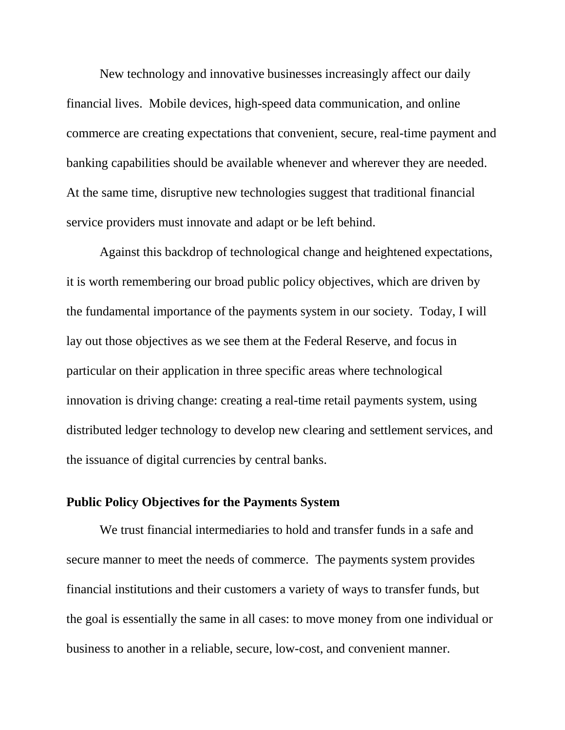New technology and innovative businesses increasingly affect our daily financial lives. Mobile devices, high-speed data communication, and online commerce are creating expectations that convenient, secure, real-time payment and banking capabilities should be available whenever and wherever they are needed. At the same time, disruptive new technologies suggest that traditional financial service providers must innovate and adapt or be left behind.

Against this backdrop of technological change and heightened expectations, it is worth remembering our broad public policy objectives, which are driven by the fundamental importance of the payments system in our society. Today, I will lay out those objectives as we see them at the Federal Reserve, and focus in particular on their application in three specific areas where technological innovation is driving change: creating a real-time retail payments system, using distributed ledger technology to develop new clearing and settlement services, and the issuance of digital currencies by central banks.

## **Public Policy Objectives for the Payments System**

We trust financial intermediaries to hold and transfer funds in a safe and secure manner to meet the needs of commerce. The payments system provides financial institutions and their customers a variety of ways to transfer funds, but the goal is essentially the same in all cases: to move money from one individual or business to another in a reliable, secure, low-cost, and convenient manner.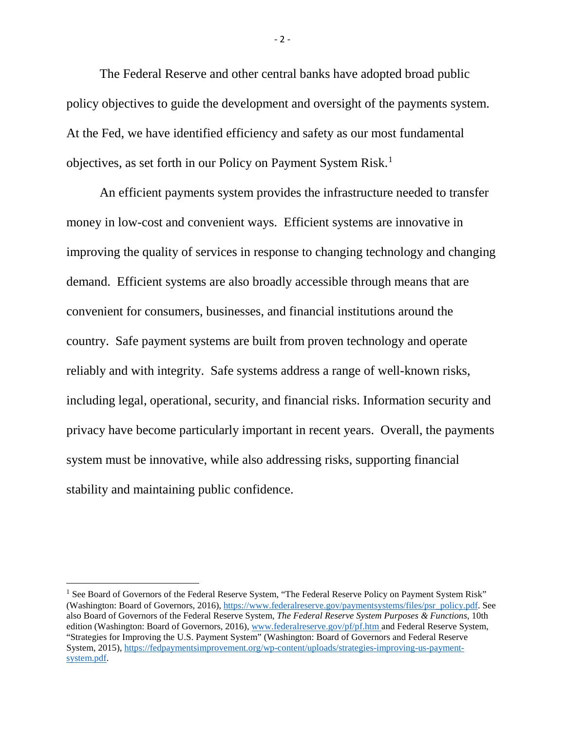The Federal Reserve and other central banks have adopted broad public policy objectives to guide the development and oversight of the payments system. At the Fed, we have identified efficiency and safety as our most fundamental objectives, as set forth in our Policy on Payment System Risk.<sup>[1](#page-2-0)</sup>

An efficient payments system provides the infrastructure needed to transfer money in low-cost and convenient ways. Efficient systems are innovative in improving the quality of services in response to changing technology and changing demand. Efficient systems are also broadly accessible through means that are convenient for consumers, businesses, and financial institutions around the country. Safe payment systems are built from proven technology and operate reliably and with integrity. Safe systems address a range of well-known risks, including legal, operational, security, and financial risks. Information security and privacy have become particularly important in recent years. Overall, the payments system must be innovative, while also addressing risks, supporting financial stability and maintaining public confidence.

l

- 2 -

<span id="page-2-0"></span><sup>&</sup>lt;sup>1</sup> See Board of Governors of the Federal Reserve System, "The Federal Reserve Policy on Payment System Risk" (Washington: Board of Governors, 2016), [https://www.federalreserve.gov/paymentsystems/files/psr\\_policy.pdf.](https://www.federalreserve.gov/paymentsystems/files/psr_policy.pdf) See also Board of Governors of the Federal Reserve System, *The Federal Reserve System Purposes & Functions*, 10th edition (Washington: Board of Governors, 2016)[, www.federalreserve.gov/pf/pf.htm](https://www.federalreserve.gov/pf/pf.htm) and Federal Reserve System, "Strategies for Improving the U.S. Payment System" (Washington: Board of Governors and Federal Reserve System, 2015), [https://fedpaymentsimprovement.org/wp-content/uploads/strategies-improving-us-payment](https://fedpaymentsimprovement.org/wp-content/uploads/strategies-improving-us-payment-system.pdf)[system.pdf.](https://fedpaymentsimprovement.org/wp-content/uploads/strategies-improving-us-payment-system.pdf)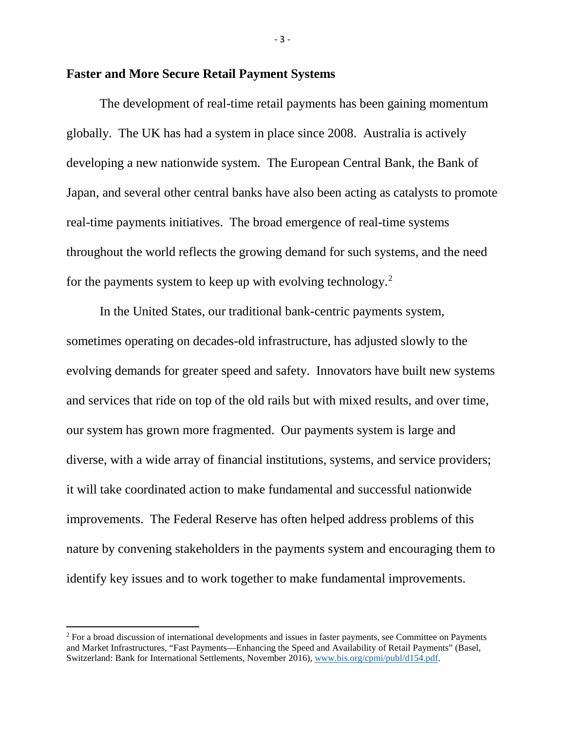#### **Faster and More Secure Retail Payment Systems**

The development of real-time retail payments has been gaining momentum globally. The UK has had a system in place since 2008. Australia is actively developing a new nationwide system. The European Central Bank, the Bank of Japan, and several other central banks have also been acting as catalysts to promote real-time payments initiatives. The broad emergence of real-time systems throughout the world reflects the growing demand for such systems, and the need for the payments system to keep up with evolving technology.[2](#page-3-0)

In the United States, our traditional bank-centric payments system, sometimes operating on decades-old infrastructure, has adjusted slowly to the evolving demands for greater speed and safety. Innovators have built new systems and services that ride on top of the old rails but with mixed results, and over time, our system has grown more fragmented. Our payments system is large and diverse, with a wide array of financial institutions, systems, and service providers; it will take coordinated action to make fundamental and successful nationwide improvements. The Federal Reserve has often helped address problems of this nature by convening stakeholders in the payments system and encouraging them to identify key issues and to work together to make fundamental improvements.

 $\overline{\phantom{a}}$ 

- 3 -

<span id="page-3-0"></span><sup>&</sup>lt;sup>2</sup> For a broad discussion of international developments and issues in faster payments, see Committee on Payments and Market Infrastructures, "Fast Payments—Enhancing the Speed and Availability of Retail Payments" (Basel, Switzerland: Bank for International Settlements, November 2016), [www.bis.org/cpmi/publ/d154.pdf.](https://www.bis.org/cpmi/publ/d154.pdf)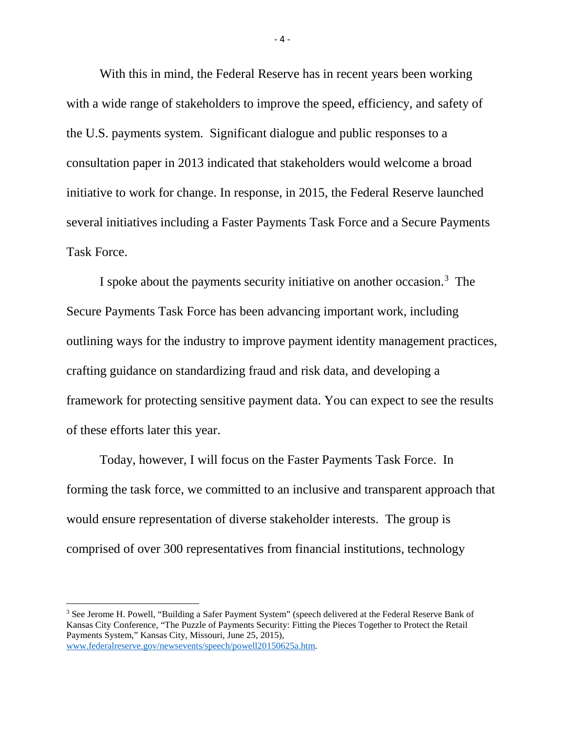With this in mind, the Federal Reserve has in recent years been working with a wide range of stakeholders to improve the speed, efficiency, and safety of the U.S. payments system. Significant dialogue and public responses to a consultation paper in 2013 indicated that stakeholders would welcome a broad initiative to work for change. In response, in 2015, the Federal Reserve launched several initiatives including a Faster Payments Task Force and a Secure Payments Task Force.

I spoke about the payments security initiative on another occasion.<sup>[3](#page-4-0)</sup> The Secure Payments Task Force has been advancing important work, including outlining ways for the industry to improve payment identity management practices, crafting guidance on standardizing fraud and risk data, and developing a framework for protecting sensitive payment data. You can expect to see the results of these efforts later this year.

Today, however, I will focus on the Faster Payments Task Force. In forming the task force, we committed to an inclusive and transparent approach that would ensure representation of diverse stakeholder interests. The group is comprised of over 300 representatives from financial institutions, technology

l

 $-4 -$ 

<span id="page-4-0"></span><sup>&</sup>lt;sup>3</sup> See Jerome H. Powell, "Building a Safer Payment System" (speech delivered at the Federal Reserve Bank of Kansas City Conference, "The Puzzle of Payments Security: Fitting the Pieces Together to Protect the Retail Payments System," Kansas City, Missouri, June 25, 2015), [www.federalreserve.gov/newsevents/speech/powell20150625a.htm.](http://www.federalreserve.gov/newsevents/speech/powell20150625a.htm)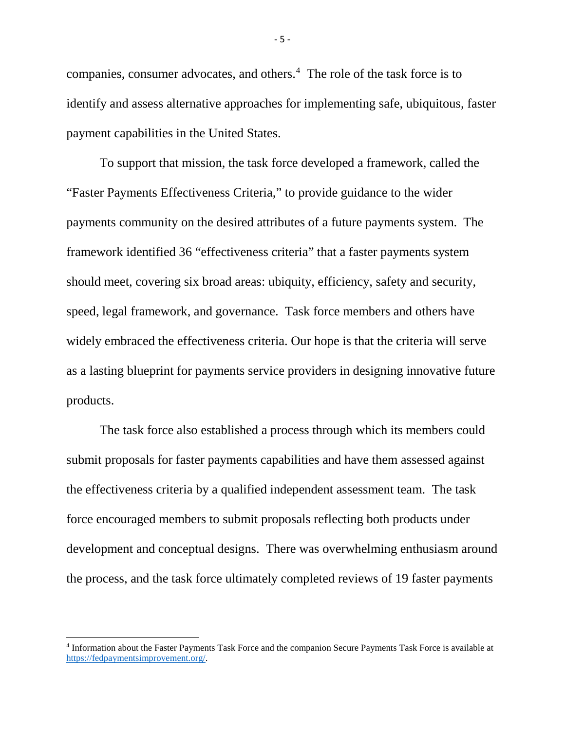companies, consumer advocates, and others.<sup>[4](#page-5-0)</sup> The role of the task force is to identify and assess alternative approaches for implementing safe, ubiquitous, faster payment capabilities in the United States.

To support that mission, the task force developed a framework, called the "Faster Payments Effectiveness Criteria," to provide guidance to the wider payments community on the desired attributes of a future payments system. The framework identified 36 "effectiveness criteria" that a faster payments system should meet, covering six broad areas: ubiquity, efficiency, safety and security, speed, legal framework, and governance. Task force members and others have widely embraced the effectiveness criteria. Our hope is that the criteria will serve as a lasting blueprint for payments service providers in designing innovative future products.

The task force also established a process through which its members could submit proposals for faster payments capabilities and have them assessed against the effectiveness criteria by a qualified independent assessment team. The task force encouraged members to submit proposals reflecting both products under development and conceptual designs. There was overwhelming enthusiasm around the process, and the task force ultimately completed reviews of 19 faster payments

l

- 5 -

<span id="page-5-0"></span><sup>4</sup> Information about the Faster Payments Task Force and the companion Secure Payments Task Force is available at [https://fedpaymentsimprovement.org/.](https://fedpaymentsimprovement.org/)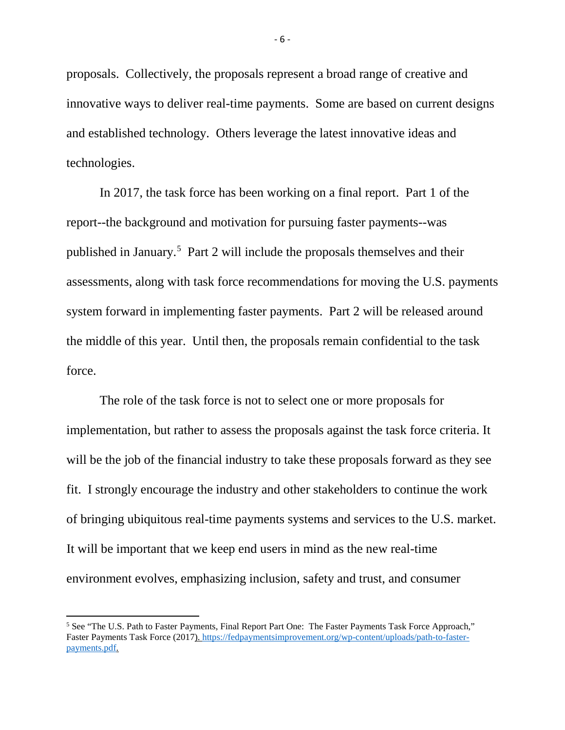proposals. Collectively, the proposals represent a broad range of creative and innovative ways to deliver real-time payments. Some are based on current designs and established technology. Others leverage the latest innovative ideas and technologies.

In 2017, the task force has been working on a final report. Part 1 of the report--the background and motivation for pursuing faster payments--was published in January.[5](#page-6-0) Part 2 will include the proposals themselves and their assessments, along with task force recommendations for moving the U.S. payments system forward in implementing faster payments. Part 2 will be released around the middle of this year. Until then, the proposals remain confidential to the task force.

The role of the task force is not to select one or more proposals for implementation, but rather to assess the proposals against the task force criteria. It will be the job of the financial industry to take these proposals forward as they see fit. I strongly encourage the industry and other stakeholders to continue the work of bringing ubiquitous real-time payments systems and services to the U.S. market. It will be important that we keep end users in mind as the new real-time environment evolves, emphasizing inclusion, safety and trust, and consumer

l

<span id="page-6-0"></span><sup>&</sup>lt;sup>5</sup> See "The U.S. Path to Faster Payments, Final Report Part One: The Faster Payments Task Force Approach," Faster Payments Task Force (2017). [https://fedpaymentsimprovement.org/wp-content/uploads/path-to-faster](https://fedpaymentsimprovement.org/wp-content/uploads/path-to-faster-payments.pdf)[payments.pdf.](https://fedpaymentsimprovement.org/wp-content/uploads/path-to-faster-payments.pdf)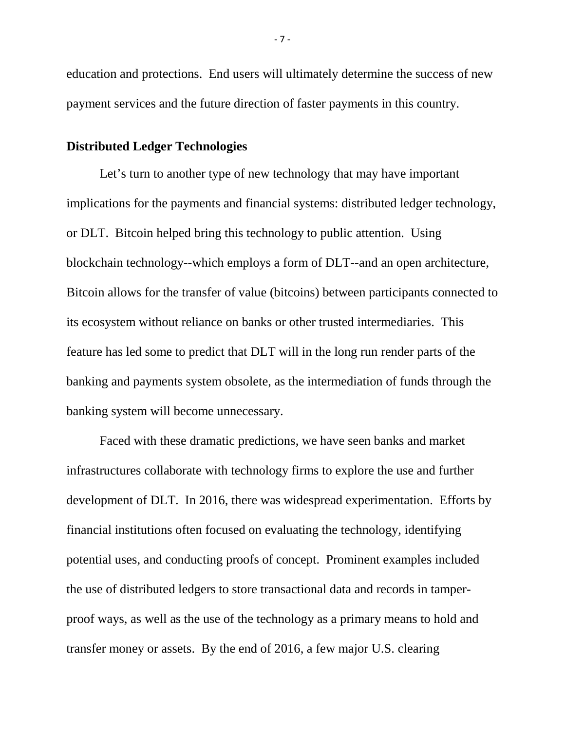education and protections. End users will ultimately determine the success of new payment services and the future direction of faster payments in this country.

# **Distributed Ledger Technologies**

Let's turn to another type of new technology that may have important implications for the payments and financial systems: distributed ledger technology, or DLT. Bitcoin helped bring this technology to public attention. Using blockchain technology--which employs a form of DLT--and an open architecture, Bitcoin allows for the transfer of value (bitcoins) between participants connected to its ecosystem without reliance on banks or other trusted intermediaries. This feature has led some to predict that DLT will in the long run render parts of the banking and payments system obsolete, as the intermediation of funds through the banking system will become unnecessary.

Faced with these dramatic predictions, we have seen banks and market infrastructures collaborate with technology firms to explore the use and further development of DLT. In 2016, there was widespread experimentation. Efforts by financial institutions often focused on evaluating the technology, identifying potential uses, and conducting proofs of concept. Prominent examples included the use of distributed ledgers to store transactional data and records in tamperproof ways, as well as the use of the technology as a primary means to hold and transfer money or assets. By the end of 2016, a few major U.S. clearing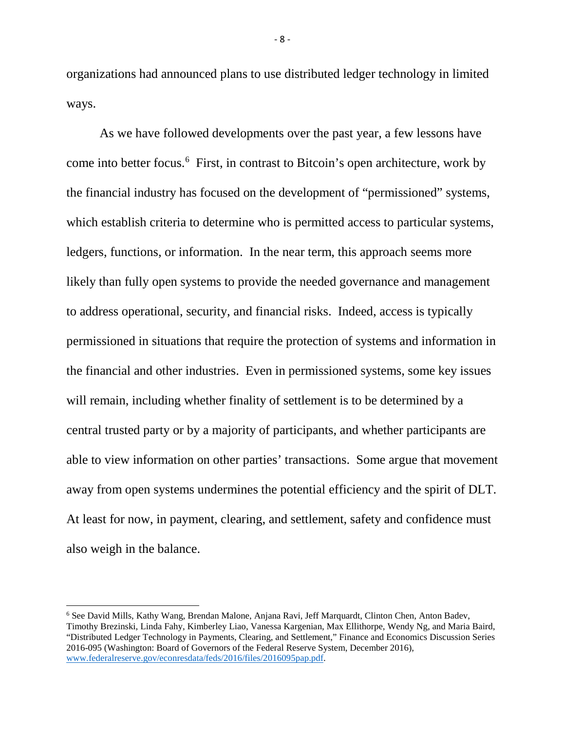organizations had announced plans to use distributed ledger technology in limited ways.

As we have followed developments over the past year, a few lessons have come into better focus.<sup>[6](#page-8-0)</sup> First, in contrast to Bitcoin's open architecture, work by the financial industry has focused on the development of "permissioned" systems, which establish criteria to determine who is permitted access to particular systems, ledgers, functions, or information. In the near term, this approach seems more likely than fully open systems to provide the needed governance and management to address operational, security, and financial risks. Indeed, access is typically permissioned in situations that require the protection of systems and information in the financial and other industries. Even in permissioned systems, some key issues will remain, including whether finality of settlement is to be determined by a central trusted party or by a majority of participants, and whether participants are able to view information on other parties' transactions. Some argue that movement away from open systems undermines the potential efficiency and the spirit of DLT. At least for now, in payment, clearing, and settlement, safety and confidence must also weigh in the balance.

 $\overline{\phantom{a}}$ 

<span id="page-8-0"></span><sup>6</sup> See David Mills, Kathy Wang, Brendan Malone, Anjana Ravi, Jeff Marquardt, Clinton Chen, Anton Badev, Timothy Brezinski, Linda Fahy, Kimberley Liao, Vanessa Kargenian, Max Ellithorpe, Wendy Ng, and Maria Baird, "Distributed Ledger Technology in Payments, Clearing, and Settlement," Finance and Economics Discussion Series 2016-095 (Washington: Board of Governors of the Federal Reserve System, December 2016), [www.federalreserve.gov/econresdata/feds/2016/files/2016095pap.pdf.](https://www.federalreserve.gov/econresdata/feds/2016/files/2016095pap.pdf)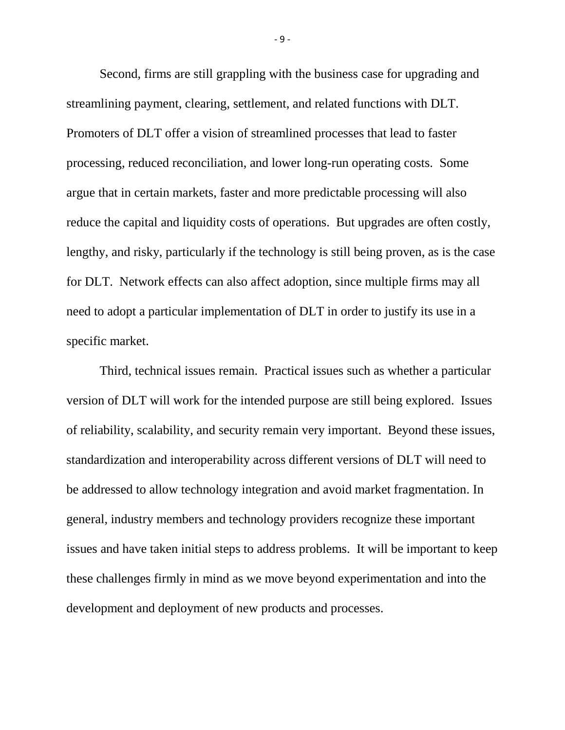Second, firms are still grappling with the business case for upgrading and streamlining payment, clearing, settlement, and related functions with DLT. Promoters of DLT offer a vision of streamlined processes that lead to faster processing, reduced reconciliation, and lower long-run operating costs. Some argue that in certain markets, faster and more predictable processing will also reduce the capital and liquidity costs of operations. But upgrades are often costly, lengthy, and risky, particularly if the technology is still being proven, as is the case for DLT. Network effects can also affect adoption, since multiple firms may all need to adopt a particular implementation of DLT in order to justify its use in a specific market.

Third, technical issues remain. Practical issues such as whether a particular version of DLT will work for the intended purpose are still being explored. Issues of reliability, scalability, and security remain very important. Beyond these issues, standardization and interoperability across different versions of DLT will need to be addressed to allow technology integration and avoid market fragmentation. In general, industry members and technology providers recognize these important issues and have taken initial steps to address problems. It will be important to keep these challenges firmly in mind as we move beyond experimentation and into the development and deployment of new products and processes.

- 9 -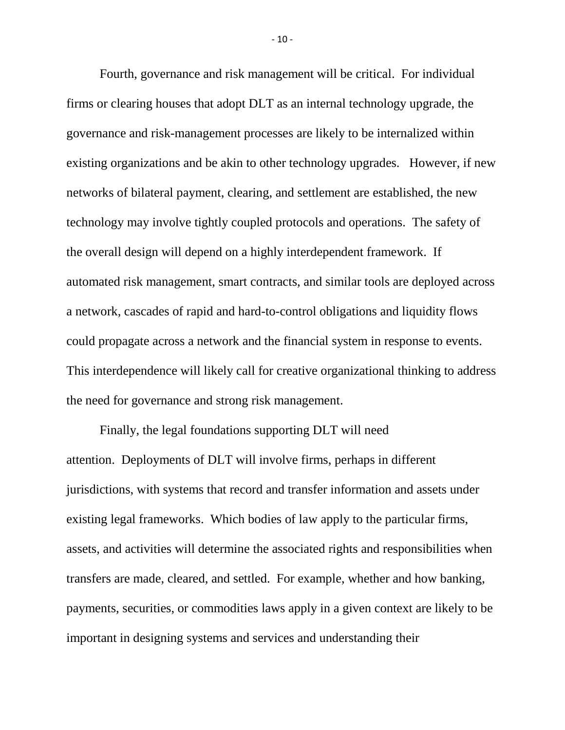Fourth, governance and risk management will be critical. For individual firms or clearing houses that adopt DLT as an internal technology upgrade, the governance and risk-management processes are likely to be internalized within existing organizations and be akin to other technology upgrades. However, if new networks of bilateral payment, clearing, and settlement are established, the new technology may involve tightly coupled protocols and operations. The safety of the overall design will depend on a highly interdependent framework. If automated risk management, smart contracts, and similar tools are deployed across a network, cascades of rapid and hard-to-control obligations and liquidity flows could propagate across a network and the financial system in response to events. This interdependence will likely call for creative organizational thinking to address the need for governance and strong risk management.

Finally, the legal foundations supporting DLT will need attention. Deployments of DLT will involve firms, perhaps in different jurisdictions, with systems that record and transfer information and assets under existing legal frameworks. Which bodies of law apply to the particular firms, assets, and activities will determine the associated rights and responsibilities when transfers are made, cleared, and settled. For example, whether and how banking, payments, securities, or commodities laws apply in a given context are likely to be important in designing systems and services and understanding their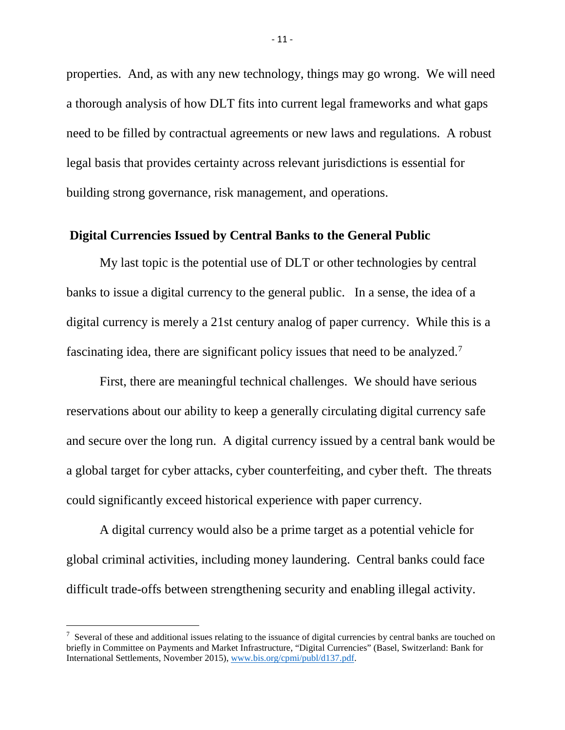properties. And, as with any new technology, things may go wrong. We will need a thorough analysis of how DLT fits into current legal frameworks and what gaps need to be filled by contractual agreements or new laws and regulations. A robust legal basis that provides certainty across relevant jurisdictions is essential for building strong governance, risk management, and operations.

# **Digital Currencies Issued by Central Banks to the General Public**

My last topic is the potential use of DLT or other technologies by central banks to issue a digital currency to the general public. In a sense, the idea of a digital currency is merely a 21st century analog of paper currency. While this is a fascinating idea, there are significant policy issues that need to be analyzed.<sup>[7](#page-11-0)</sup>

First, there are meaningful technical challenges. We should have serious reservations about our ability to keep a generally circulating digital currency safe and secure over the long run. A digital currency issued by a central bank would be a global target for cyber attacks, cyber counterfeiting, and cyber theft. The threats could significantly exceed historical experience with paper currency.

A digital currency would also be a prime target as a potential vehicle for global criminal activities, including money laundering. Central banks could face difficult trade-offs between strengthening security and enabling illegal activity.

 $\overline{\phantom{a}}$ 

<span id="page-11-0"></span> $^7$  Several of these and additional issues relating to the issuance of digital currencies by central banks are touched on briefly in Committee on Payments and Market Infrastructure, "Digital Currencies" (Basel, Switzerland: Bank for International Settlements, November 2015), [www.bis.org/cpmi/publ/d137.pdf.](http://www.bis.org/cpmi/publ/d137.pdf)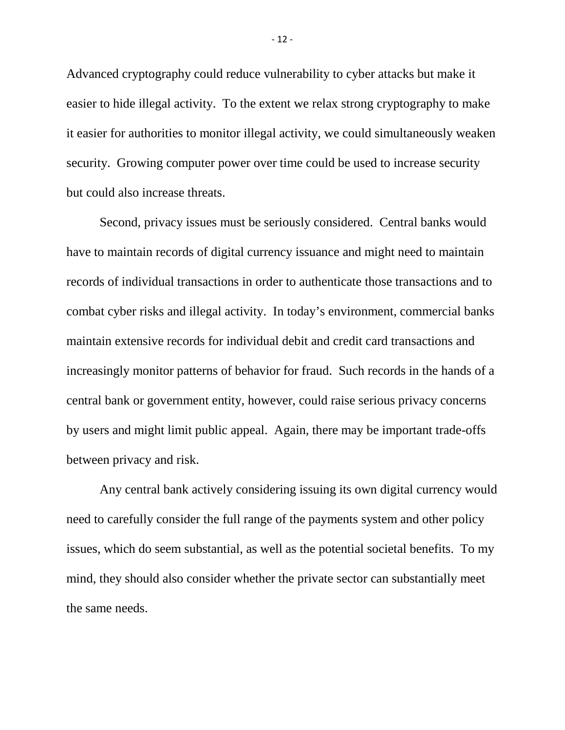Advanced cryptography could reduce vulnerability to cyber attacks but make it easier to hide illegal activity. To the extent we relax strong cryptography to make it easier for authorities to monitor illegal activity, we could simultaneously weaken security. Growing computer power over time could be used to increase security but could also increase threats.

Second, privacy issues must be seriously considered. Central banks would have to maintain records of digital currency issuance and might need to maintain records of individual transactions in order to authenticate those transactions and to combat cyber risks and illegal activity. In today's environment, commercial banks maintain extensive records for individual debit and credit card transactions and increasingly monitor patterns of behavior for fraud. Such records in the hands of a central bank or government entity, however, could raise serious privacy concerns by users and might limit public appeal. Again, there may be important trade-offs between privacy and risk.

Any central bank actively considering issuing its own digital currency would need to carefully consider the full range of the payments system and other policy issues, which do seem substantial, as well as the potential societal benefits. To my mind, they should also consider whether the private sector can substantially meet the same needs.

- 12 -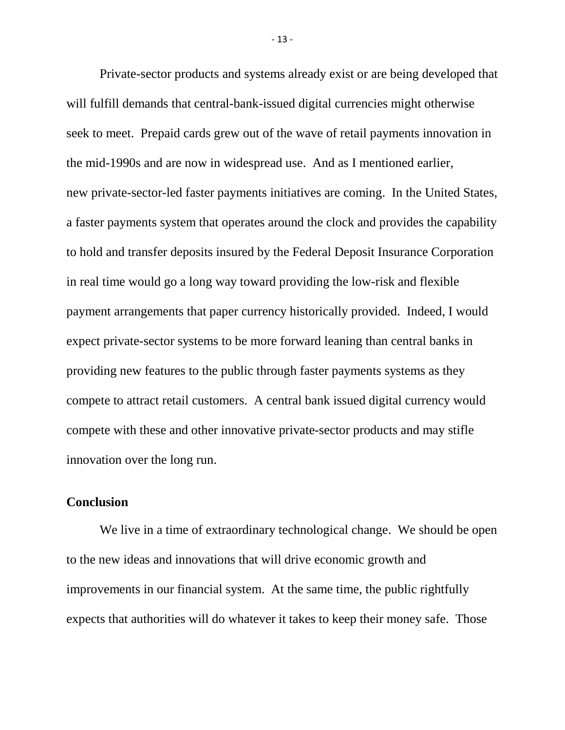Private-sector products and systems already exist or are being developed that will fulfill demands that central-bank-issued digital currencies might otherwise seek to meet. Prepaid cards grew out of the wave of retail payments innovation in the mid-1990s and are now in widespread use. And as I mentioned earlier, new private-sector-led faster payments initiatives are coming. In the United States, a faster payments system that operates around the clock and provides the capability to hold and transfer deposits insured by the Federal Deposit Insurance Corporation in real time would go a long way toward providing the low-risk and flexible payment arrangements that paper currency historically provided. Indeed, I would expect private-sector systems to be more forward leaning than central banks in providing new features to the public through faster payments systems as they compete to attract retail customers. A central bank issued digital currency would compete with these and other innovative private-sector products and may stifle innovation over the long run.

## **Conclusion**

We live in a time of extraordinary technological change. We should be open to the new ideas and innovations that will drive economic growth and improvements in our financial system. At the same time, the public rightfully expects that authorities will do whatever it takes to keep their money safe. Those

- 13 -